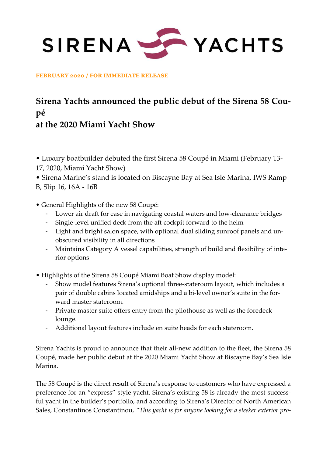SIRENA STACHTS

**FEBRUARY 2020 / FOR IMMEDIATE RELEASE**

# **Sirena Yachts announced the public debut of the Sirena 58 Coupé**

## **at the 2020 Miami Yacht Show**

• Luxury boatbuilder debuted the first Sirena 58 Coupé in Miami (February 13- 17, 2020, Miami Yacht Show)

• Sirena Marine's stand is located on Biscayne Bay at Sea Isle Marina, IWS Ramp B, Slip 16, 16A - 16B

- General Highlights of the new 58 Coupé:
	- Lower air draft for ease in navigating coastal waters and low-clearance bridges
	- Single-level unified deck from the aft cockpit forward to the helm
	- Light and bright salon space, with optional dual sliding sunroof panels and unobscured visibility in all directions
	- Maintains Category A vessel capabilities, strength of build and flexibility of interior options
- Highlights of the Sirena 58 Coupé Miami Boat Show display model:
	- Show model features Sirena's optional three-stateroom layout, which includes a pair of double cabins located amidships and a bi-level owner's suite in the forward master stateroom.
	- Private master suite offers entry from the pilothouse as well as the foredeck lounge.
	- Additional layout features include en suite heads for each stateroom.

Sirena Yachts is proud to announce that their all-new addition to the fleet, the Sirena 58 Coupé, made her public debut at the 2020 Miami Yacht Show at Biscayne Bay's Sea Isle Marina.

The 58 Coupé is the direct result of Sirena's response to customers who have expressed a preference for an "express" style yacht. Sirena's existing 58 is already the most successful yacht in the builder's portfolio, and according to Sirena's Director of North American Sales, Constantinos Constantinou, *"This yacht is for anyone looking for a sleeker exterior pro-*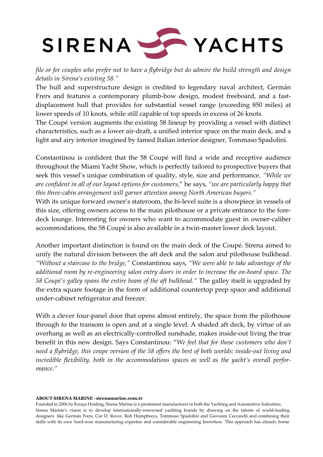

*file or for couples who prefer not to have a flybridge but do admire the build strength and design details in Sirena's existing 58."*

The hull and superstructure design is credited to legendary naval architect, Germán Frers and features a contemporary plumb-bow design, modest freeboard, and a fastdisplacement hull that provides for substantial vessel range (exceeding 850 miles) at lower speeds of 10 knots, while still capable of top speeds in excess of 26 knots.

The Coupé version augments the existing 58 lineup by providing a vessel with distinct characteristics, such as a lower air-draft, a unified interior space on the main deck, and a light and airy interior imagined by famed Italian interior designer, Tommaso Spadolini.

Constantinou is confident that the 58 Coupé will find a wide and receptive audience throughout the Miami Yacht Show, which is perfectly tailored to prospective buyers that seek this vessel's unique combination of quality, style, size and performance. *"While we are confident in all of our layout options for customers,*" he says, *"we are particularly happy that this three-cabin arrangement will garner attention among North American buyers."*

With its unique forward owner's stateroom, the bi-level suite is a showpiece in vessels of this size, offering owners access to the main pilothouse or a private entrance to the foredeck lounge. Interesting for owners who want to accommodate guest in owner-caliber accommodations, the 58 Coupé is also available in a twin-master lower deck layout.

Another important distinction is found on the main deck of the Coupé. Sirena aimed to unify the natural division between the aft deck and the salon and pilothouse bulkhead. *"Without a staircase to the bridge,"* Constantinou says, *"We were able to take advantage of the additional room by re-engineering salon entry doors in order to increase the on-board space. The 58 Coupé's galley spans the entire beam of the aft bulkhead."* The galley itself is upgraded by the extra square footage in the form of additional countertop prep space and additional under-cabinet refrigerator and freezer.

With a clever four-panel door that opens almost entirely, the space from the pilothouse through to the transom is open and at a single level. A shaded aft deck, by virtue of an overhang as well as an electrically-controlled sunshade, makes inside-out living the true benefit in this new design. Says Constantinou: "*We feel that for those customers who don't need a flybridge, this coupe version of the 58 offers the best of both worlds: inside-out living and incredible flexibility, both in the accommodations spaces as well as the yacht's overall performance."*

#### **ABOUT SIRENA MARINE -sirenamarine.com.tr**

Founded in 2006 by Kıraça Holding, Sirena Marine is a prominent manufacturer in both the Yachting and Automotive Industries. Sirena Marine's vision is to develop internationally-renowned yachting brands by drawing on the talents of world-leading designers like Germán Frers, Cor D. Rover, Rob Humphreys, Tommaso Spadolini and Giovanni Ceccarelli and combining their skills with its own hard-won manufacturing expertise and considerable engineering knowhow. This approach has already borne